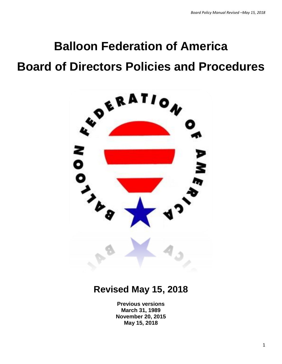# **Balloon Federation of America Board of Directors Policies and Procedures**



# **Revised May 15, 2018**

**Previous versions March 31, 1989 November 20, 2015 May 15, 2018**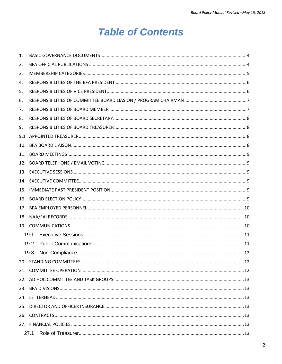# **Table of Contents**

| 1.  |      |  |  |  |  |
|-----|------|--|--|--|--|
| 2.  |      |  |  |  |  |
| 3.  |      |  |  |  |  |
| 4.  |      |  |  |  |  |
| 5.  |      |  |  |  |  |
| 6.  |      |  |  |  |  |
| 7.  |      |  |  |  |  |
| 8.  |      |  |  |  |  |
| 9.  |      |  |  |  |  |
| 9.1 |      |  |  |  |  |
| 10. |      |  |  |  |  |
| 11. |      |  |  |  |  |
| 12. |      |  |  |  |  |
|     |      |  |  |  |  |
|     |      |  |  |  |  |
| 15. |      |  |  |  |  |
| 16. |      |  |  |  |  |
| 17. |      |  |  |  |  |
|     |      |  |  |  |  |
|     |      |  |  |  |  |
|     | 19.1 |  |  |  |  |
|     | 19.2 |  |  |  |  |
|     | 19.3 |  |  |  |  |
|     |      |  |  |  |  |
|     |      |  |  |  |  |
|     |      |  |  |  |  |
|     |      |  |  |  |  |
|     |      |  |  |  |  |
|     |      |  |  |  |  |
|     |      |  |  |  |  |
|     |      |  |  |  |  |
|     | 27.1 |  |  |  |  |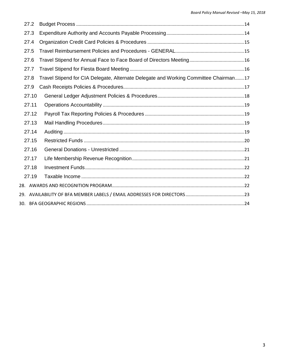| 27.2  |                                                                                      |  |  |  |  |  |
|-------|--------------------------------------------------------------------------------------|--|--|--|--|--|
| 27.3  |                                                                                      |  |  |  |  |  |
| 27.4  |                                                                                      |  |  |  |  |  |
| 27.5  |                                                                                      |  |  |  |  |  |
| 27.6  |                                                                                      |  |  |  |  |  |
| 27.7  |                                                                                      |  |  |  |  |  |
| 27.8  | Travel Stipend for CIA Delegate, Alternate Delegate and Working Committee Chairman17 |  |  |  |  |  |
| 27.9  |                                                                                      |  |  |  |  |  |
| 27.10 |                                                                                      |  |  |  |  |  |
| 27.11 |                                                                                      |  |  |  |  |  |
| 27.12 |                                                                                      |  |  |  |  |  |
| 27.13 |                                                                                      |  |  |  |  |  |
| 27.14 |                                                                                      |  |  |  |  |  |
| 27.15 |                                                                                      |  |  |  |  |  |
| 27.16 |                                                                                      |  |  |  |  |  |
| 27.17 |                                                                                      |  |  |  |  |  |
| 27.18 |                                                                                      |  |  |  |  |  |
| 27.19 |                                                                                      |  |  |  |  |  |
|       |                                                                                      |  |  |  |  |  |
|       |                                                                                      |  |  |  |  |  |
|       |                                                                                      |  |  |  |  |  |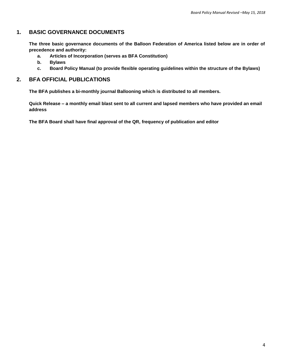# <span id="page-3-0"></span>**1. BASIC GOVERNANCE DOCUMENTS**

**The three basic governance documents of the Balloon Federation of America listed below are in order of precedence and authority:**

- **a. Articles of Incorporation (serves as BFA Constitution)**
- **b. Bylaws**
- **c. Board Policy Manual (to provide flexible operating guidelines within the structure of the Bylaws)**

# <span id="page-3-1"></span>**2. BFA OFFICIAL PUBLICATIONS**

**The BFA publishes a bi-monthly journal Ballooning which is distributed to all members.**

**Quick Release – a monthly email blast sent to all current and lapsed members who have provided an email address**

**The BFA Board shall have final approval of the QR, frequency of publication and editor**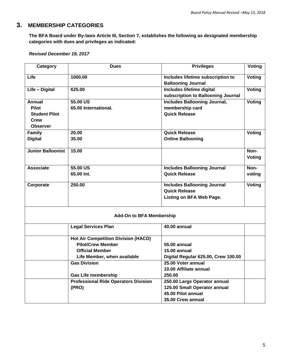# <span id="page-4-0"></span>**3. MEMBERSHIP CATEGORIES**

**The BFA Board under By-laws Article III, Section 7, establishes the following as designated membership categories with dues and privileges as indicated:**

#### *Revised December 19, 2017*

| Category                 | <b>Dues</b>                                 | <b>Privileges</b>                   | Voting        |
|--------------------------|---------------------------------------------|-------------------------------------|---------------|
|                          |                                             |                                     |               |
| Life                     | 1000.00                                     | Includes lifetime subscription to   | Voting        |
|                          |                                             | <b>Ballooning Journal</b>           |               |
| Life - Digital           | 625.00                                      | <b>Includes lifetime digital</b>    | <b>Voting</b> |
|                          |                                             | subscription to Ballooning Journal  |               |
| <b>Annual</b>            | 55.00 US                                    | Includes Ballooning Journal,        | <b>Voting</b> |
| <b>Pilot</b>             | 65.00 International.                        | membership card                     |               |
| <b>Student Pilot</b>     |                                             | <b>Quick Release</b>                |               |
| <b>Crew</b>              |                                             |                                     |               |
| <b>Observer</b>          |                                             |                                     |               |
| Family                   | 20.00                                       | <b>Quick Release</b>                | Voting        |
| <b>Digital</b>           | 35.00                                       | <b>Online Ballooning</b>            |               |
|                          |                                             |                                     |               |
| <b>Junior Balloonist</b> | 15.00                                       |                                     | Non-          |
|                          |                                             |                                     | <b>Voting</b> |
| <b>Associate</b>         | 55.00 US                                    | <b>Includes Ballooning Journal</b>  | Non-          |
|                          | 65.00 Int.                                  | <b>Quick Release</b>                | voting        |
|                          |                                             |                                     |               |
| Corporate                | 250.00                                      | <b>Includes Ballooning Journal</b>  | <b>Voting</b> |
|                          |                                             | <b>Quick Release</b>                |               |
|                          |                                             | Listing on BFA Web Page.            |               |
|                          |                                             |                                     |               |
|                          |                                             |                                     |               |
|                          | <b>Add-On to BFA Membership</b>             |                                     |               |
|                          | <b>Legal Services Plan</b>                  | <b>40.00 annual</b>                 |               |
|                          |                                             |                                     |               |
|                          | <b>Hot Air Competition Division (HACD)</b>  |                                     |               |
|                          | <b>Pilot/Crew Member</b>                    | 55.00 annual                        |               |
|                          | <b>Official Member</b>                      | 15.00 annual                        |               |
|                          | Life Member, when available                 | Digital Regular 625.00, Crew 100.00 |               |
|                          | <b>Gas Division</b>                         | 25.00 Voter annual                  |               |
|                          |                                             | 10.00 Affiliate annual              |               |
|                          | <b>Gas Life membership</b>                  | 250.00                              |               |
|                          | <b>Professional Ride Operators Division</b> | 250.00 Large Operator annual        |               |
|                          | (PRO)                                       | 125.00 Small Operator annual        |               |
|                          |                                             | 45.00 Pilot annual                  |               |
|                          |                                             | 35.00 Crew annual                   |               |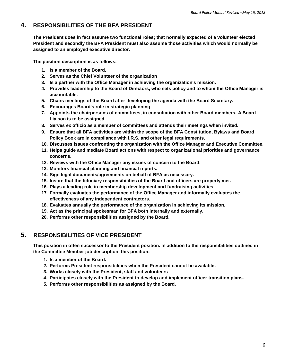# <span id="page-5-0"></span>**4. RESPONSIBILITIES OF THE BFA PRESIDENT**

**The President does in fact assume two functional roles; that normally expected of a volunteer elected President and secondly the BFA President must also assume those activities which would normally be assigned to an employed executive director.**

**The position description is as follows:**

- **1. Is a member of the Board.**
- **2. Serves as the Chief Volunteer of the organization**
- **3. Is a partner with the Office Manager in achieving the organization's mission.**
- **4. Provides leadership to the Board of Directors, who sets policy and to whom the Office Manager is accountable.**
- **5. Chairs meetings of the Board after developing the agenda with the Board Secretary.**
- **6. Encourages Board's role in strategic planning**
- **7. Appoints the chairpersons of committees, in consultation with other Board members. A Board Liaison is to be assigned.**
- **8. Serves ex officio as a member of committees and attends their meetings when invited.**
- **9. Ensure that all BFA activities are within the scope of the BFA Constitution, Bylaws and Board Policy Book are in compliance with I.R.S. and other legal requirements.**
- **10. Discusses issues confronting the organization with the Office Manager and Executive Committee.**
- **11. Helps guide and mediate Board actions with respect to organizational priorities and governance concerns.**
- **12. Reviews with the Office Manager any issues of concern to the Board.**
- **13. Monitors financial planning and financial reports.**
- **14. Sign legal documents/agreements on behalf of BFA as necessary.**
- **15. Insure that the fiduciary responsibilities of the Board and officers are properly met.**
- **16. Plays a leading role in membership development and fundraising activities**
- **17. Formally evaluates the performance of the Office Manager and informally evaluates the effectiveness of any independent contractors.**
- **18. Evaluates annually the performance of the organization in achieving its mission.**
- **19. Act as the principal spokesman for BFA both internally and externally.**
- **20. Performs other responsibilities assigned by the Board.**

# <span id="page-5-1"></span>**5. RESPONSIBILITIES OF VICE PRESIDENT**

**This position in often successor to the President position. In addition to the responsibilities outlined in the Committee Member job description, this position:**

- **1. Is a member of the Board.**
- **2. Performs President responsibilities when the President cannot be available.**
- **3. Works closely with the President, staff and volunteers**
- **4. Participates closely with the President to develop and implement officer transition plans.**
- **5. Performs other responsibilities as assigned by the Board.**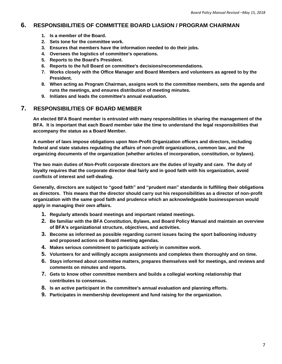# <span id="page-6-0"></span>**6. RESPONSIBILITIES OF COMMITTEE BOARD LIASION / PROGRAM CHAIRMAN**

- **1. Is a member of the Board.**
- **2. Sets tone for the committee work.**
- **3. Ensures that members have the information needed to do their jobs.**
- **4. Oversees the logistics of committee's operations.**
- **5. Reports to the Board's President.**
- **6. Reports to the full Board on committee's decisions/recommendations.**
- **7. Works closely with the Office Manager and Board Members and volunteers as agreed to by the President.**
- **8. When acting as Program Chairman, assigns work to the committee members, sets the agenda and runs the meetings, and ensures distribution of meeting minutes.**
- **9. Initiates and leads the committee's annual evaluation.**

# <span id="page-6-1"></span>**7. RESPONSIBILITIES OF BOARD MEMBER**

**An elected BFA Board member is entrusted with many responsibilities in sharing the management of the BFA. It is important that each Board member take the time to understand the legal responsibilities that accompany the status as a Board Member.**

**A number of laws impose obligations upon Non-Profit Organization officers and directors, including federal and state statutes regulating the affairs of non-profit organizations, common law, and the organizing documents of the organization (whether articles of incorporation, constitution, or bylaws).** 

**The two main duties of Non-Profit corporate directors are the duties of loyalty and care. The duty of loyalty requires that the corporate director deal fairly and in good faith with his organization, avoid conflicts of interest and self-dealing.**

**Generally, directors are subject to "good faith" and "prudent man" standards in fulfilling their obligations as directors. This means that the director should carry out his responsibilities as a director of non-profit organization with the same good faith and prudence which an acknowledgeable businessperson would apply in managing their own affairs.**

- **1. Regularly attends board meetings and important related meetings.**
- **2. Be familiar with the BFA Constitution, Bylaws, and Board Policy Manual and maintain an overview of BFA's organizational structure, objectives, and activities.**
- **3. Become as informed as possible regarding current issues facing the sport ballooning industry and proposed actions on Board meeting agendas.**
- **4. Makes serious commitment to participate actively in committee work.**
- **5. Volunteers for and willingly accepts assignments and completes them thoroughly and on time.**
- **6. Stays informed about committee matters, prepares themselves well for meetings, and reviews and comments on minutes and reports.**
- **7. Gets to know other committee members and builds a collegial working relationship that contributes to consensus.**
- **8. Is an active participant in the committee's annual evaluation and planning efforts.**
- **9. Participates in membership development and fund raising for the organization.**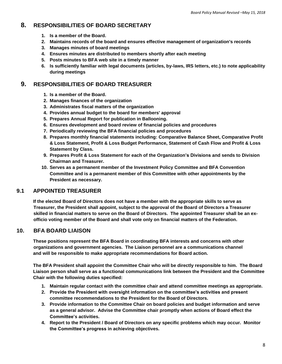# <span id="page-7-0"></span>**8. RESPONSIBILITIES OF BOARD SECRETARY**

- **1. Is a member of the Board.**
- **2. Maintains records of the board and ensures effective management of organization's records**
- **3. Manages minutes of board meetings**
- **4. Ensures minutes are distributed to members shortly after each meeting**
- **5. Posts minutes to BFA web site in a timely manner**
- **6. Is sufficiently familiar with legal documents (articles, by-laws, IRS letters, etc.) to note applicability during meetings**

# <span id="page-7-1"></span>**9. RESPONSIBILITIES OF BOARD TREASURER**

- **1. Is a member of the Board.**
- **2. Manages finances of the organization**
- **3. Administrates fiscal matters of the organization**
- **4. Provides annual budget to the board for members' approval**
- **5. Prepares Annual Report for publication in Ballooning.**
- **6. Ensures development and board review of financial policies and procedures**
- **7. Periodically reviewing the BFA financial policies and procedures**
- **8. Prepares monthly financial statements including: Comparative Balance Sheet, Comparative Profit & Loss Statement, Profit & Loss Budget Performance, Statement of Cash Flow and Profit & Loss Statement by Class.**
- **9. Prepares Profit & Loss Statement for each of the Organization's Divisions and sends to Division Chairman and Treasurer.**
- **10. Serves as a permanent member of the Investment Policy Committee and BFA Convention Committee and is a permanent member of this Committee with other appointments by the President as necessary.**

# <span id="page-7-2"></span>**9.1 APPOINTED TREASURER**

**If the elected Board of Directors does not have a member with the appropriate skills to serve as Treasurer, the President shall appoint, subject to the approval of the Board of Directors a Treasurer skilled in financial matters to serve on the Board of Directors. The appointed Treasurer shall be an exofficio voting member of the Board and shall vote only on financial matters of the Federation.**

# <span id="page-7-3"></span>**10. BFA BOARD LIAISON**

**These positions represent the BFA Board in coordinating BFA interests and concerns with other organizations and government agencies. The Liaison personnel are a communications channel and will be responsible to make appropriate recommendations for Board action.**

**The BFA President shall appoint the Committee Chair who will be directly responsible to him. The Board Liaison person shall serve as a functional communications link between the President and the Committee Chair with the following duties specified:**

- **1. Maintain regular contact with the committee chair and attend committee meetings as appropriate.**
- **2. Provide the President with oversight information on the committee's activities and present committee recommendations to the President for the Board of Directors.**
- **3. Provide information to the Committee Chair on board policies and budget information and serve as a general advisor. Advise the Committee chair promptly when actions of Board effect the Committee's activities.**
- **4. Report to the President / Board of Directors on any specific problems which may occur. Monitor the Committee's progress in achieving objectives.**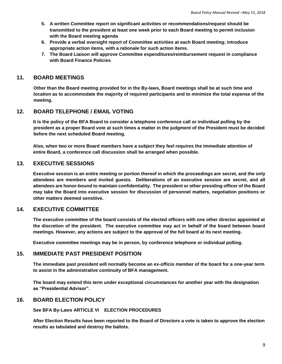- **5. A written Committee report on significant activities or recommendations/request should be transmitted to the president at least one week prior to each Board meeting to permit inclusion with the Board meeting agenda**
- **6. Provide a verbal oversight report of Committee activities at each Board meeting; introduce appropriate action items, with a rationale for such action items.**
- **7. The Board Liaison will approve Committee expenditures/reimbursement request in compliance with Board Finance Policies**

# <span id="page-8-0"></span>**11. BOARD MEETINGS**

 **Other than the Board meeting provided for in the By-laws, Board meetings shall be at such time and location as to accommodate the majority of required participants and to minimize the total expense of the meeting.**

#### <span id="page-8-1"></span>**12. BOARD TELEPHONE / EMAIL VOTING**

**It is the policy of the BFA Board to consider a telephone conference call or individual polling by the president as a proper Board vote at such times a matter in the judgment of the President must be decided before the next scheduled Board meeting.**

**Also, when two or more Board members have a subject they feel requires the immediate attention of entire Board, a conference call discussion shall be arranged when possible.**

#### <span id="page-8-2"></span>**13. EXECUTIVE SESSIONS**

**Executive session is an entire meeting or portion thereof in which the proceedings are secret, and the only attendees are members and invited guests. Deliberations of an executive session are secret, and all attendees are honor-bound to maintain confidentiality. The president or other presiding officer of the Board may take the Board into executive session for discussion of personnel matters, negotiation positions or other matters deemed sensitive.** 

#### <span id="page-8-3"></span>**14. EXECUTIVE COMMITTEE**

**The executive committee of the board consists of the elected officers with one other director appointed at the discretion of the president. The executive committee may act in behalf of the board between board meetings. However, any actions are subject to the approval of the full board at its next meeting.**

**Executive committee meetings may be in person, by conference telephone or individual polling.**

#### <span id="page-8-4"></span>**15. IMMEDIATE PAST PRESIDENT POSITION**

**The immediate past president will normally become an ex-officio member of the board for a one-year term to assist in the administrative continuity of BFA management.**

**The board may extend this term under exceptional circumstances for another year with the designation as "Presidential Advisor".**

#### <span id="page-8-5"></span>**16. BOARD ELECTION POLICY**

**See BFA By-Laws ARTICLE VI ELECTION PROCEDURES**

**After Election Results have been reported to the Board of Directors a vote is taken to approve the election results as tabulated and destroy the ballots.**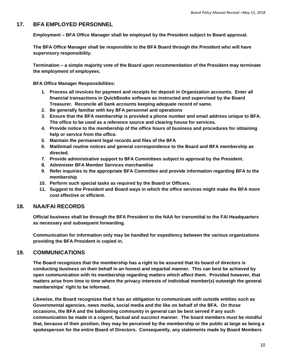#### <span id="page-9-0"></span>**17. BFA EMPLOYED PERSONNEL**

**Employment – BFA Office Manager shall be employed by the President subject to Board approval.**

**The BFA Office Manager shall be responsible to the BFA Board through the President who will have supervisory responsibility.**

**Termination – a simple majority vote of the Board upon recommendation of the President may terminate the employment of employees.**

**BFA Office Manager Responsibilities:**

- **1. Process all invoices for payment and receipts for deposit in Organization accounts. Enter all financial transactions in QuickBooks software as instructed and supervised by the Board Treasurer. Reconcile all bank accounts keeping adequate record of same.**
- **2. Be generally familiar with key BFA personnel and operations**
- **3. Ensure that the BFA membership is provided a phone number and email address unique to BFA. The office to be used as a reference source and clearing house for services.**
- **4. Provide notice to the membership of the office hours of business and procedures for obtaining help or service from the office.**
- **5. Maintain the permanent legal records and files of the BFA**
- **6. Mail/email routine notices and general correspondence to the Board and BFA membership as directed.**
- **7. Provide administrative support to BFA Committees subject to approval by the President.**
- **8. Administer BFA Member Services merchandise**
- **9. Refer inquiries to the appropriate BFA Committee and provide information regarding BFA to the membership**
- **10. Perform such special tasks as required by the Board or Officers.**
- **11. Suggest to the President and Board ways in which the office services might make the BFA more cost effective or efficient.**

#### <span id="page-9-1"></span>**18. NAA/FAI RECORDS**

**Official business shall be through the BFA President to the NAA for transmittal to the FAI Headquarters as necessary and subsequent forwarding.**

**Communication for information only may be handled for expediency between the various organizations providing the BFA President is copied in.**

#### <span id="page-9-2"></span>**19. COMMUNICATIONS**

**The Board recognizes that the membership has a right to be assured that its board of directors is conducting business on their behalf in an honest and impartial manner. This can best be achieved by open communication with its membership regarding matters which affect them. Provided however, that matters arise from time to time where the privacy interests of individual member(s) outweigh the general memberships' right to be informed.** 

**Likewise, the Board recognizes that it has an obligation to communicate with outside entities such as Governmental agencies, news media, social media and the like on behalf of the BFA. On those occasions, the BFA and the ballooning community in general can be best served if any such communication be made in a cogent, factual and succinct manner. The board members must be mindful that, because of their position, they may be perceived by the membership or the public at large as being a spokesperson for the entire Board of Directors. Consequently, any statements made by Board Members**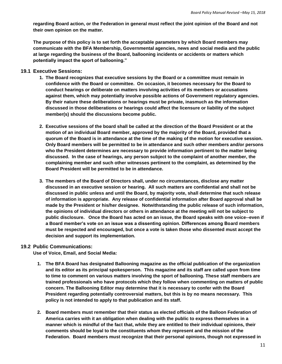**regarding Board action, or the Federation in general must reflect the joint opinion of the Board and not their own opinion on the matter.**

**The purpose of this policy is to set forth the acceptable parameters by which Board members may communicate with the BFA Membership, Governmental agencies, news and social media and the public at large regarding the business of the Board, ballooning incidents or accidents or matters which potentially impact the sport of ballooning."**

#### <span id="page-10-0"></span>**19.1 Executive Sessions:**

- **1. The Board recognizes that executive sessions by the Board or a committee must remain in confidence with the Board or committee. On occasion, it becomes necessary for the Board to conduct hearings or deliberate on matters involving activities of its members or accusations against them, which may potentially involve possible actions of Government regulatory agencies. By their nature these deliberations or hearings must be private, inasmuch as the information discussed in those deliberations or hearings could affect the licensure or liability of the subject member(s) should the discussions become public.**
- **2. Executive sessions of the board shall be called at the direction of the Board President or at the motion of an individual Board member, approved by the majority of the Board, provided that a quorum of the Board is in attendance at the time of the making of the motion for executive session. Only Board members will be permitted to be in attendance and such other members and/or persons who the President determines are necessary to provide information pertinent to the matter being discussed. In the case of hearings, any person subject to the complaint of another member, the complaining member and such other witnesses pertinent to the complaint, as determined by the Board President will be permitted to be in attendance.**
- **3. The members of the Board of Directors shall, under no circumstances, disclose any matter discussed in an executive session or hearing. All such matters are confidential and shall not be discussed in public unless and until the Board, by majority vote, shall determine that such release of information is appropriate. Any release of confidential information after Board approval shall be made by the President or his/her designee. Notwithstanding the public release of such information, the opinions of individual directors or others in attendance at the meeting will not be subject to public disclosure. Once the Board has acted on an issue, the Board speaks with one voice--even if a Board member's vote on an issue was a dissenting opinion. Differences among Board members must be respected and encouraged, but once a vote is taken those who dissented must accept the decision and support its implementation.**

#### <span id="page-10-1"></span>**19.2 Public Communications:**

**Use of Voice, Email, and Social Media:**

- **1. The BFA Board has designated Ballooning magazine as the official publication of the organization and its editor as its principal spokesperson. This magazine and its staff are called upon from time to time to comment on various matters involving the sport of ballooning. These staff members are trained professionals who have protocols which they follow when commenting on matters of public concern. The Ballooning Editor may determine that it is necessary to confer with the Board President regarding potentially controversial matters, but this is by no means necessary. This policy is not intended to apply to that publication and its staff.**
- **2. Board members must remember that their status as elected officials of the Balloon Federation of America carries with it an obligation when dealing with the public to express themselves in a manner which is mindful of the fact that, while they are entitled to their individual opinions, their comments should be loyal to the constituents whom they represent and the mission of the Federation. Board members must recognize that their personal opinions, though not expressed in**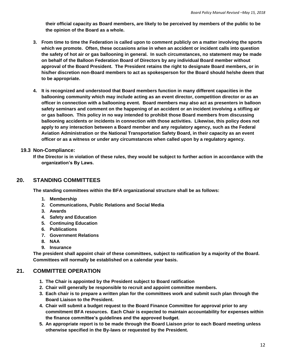**their official capacity as Board members, are likely to be perceived by members of the public to be the opinion of the Board as a whole.** 

- **3. From time to time the Federation is called upon to comment publicly on a matter involving the sports**  which we promote. Often, these occasions arise in when an accident or incident calls into question **the safety of hot air or gas ballooning in general. In such circumstances, no statement may be made on behalf of the Balloon Federation Board of Directors by any individual Board member without approval of the Board President. The President retains the right to designate Board members, or in his/her discretion non-Board members to act as spokesperson for the Board should he/she deem that to be appropriate.**
- **4. It is recognized and understood that Board members function in many different capacities in the ballooning community which may include acting as an event director, competition director or as an officer in connection with a ballooning event. Board members may also act as presenters in balloon safety seminars and comment on the happening of an accident or an incident involving a stifling air or gas balloon. This policy in no way intended to prohibit those Board members from discussing ballooning accidents or incidents in connection with those activities. Likewise, this policy does not apply to any interaction between a Board member and any regulatory agency, such as the Federal Aviation Administration or the National Transportation Safety Board, in their capacity as an event officer or as a witness or under any circumstances when called upon by a regulatory agency.**

#### <span id="page-11-0"></span>**19.3 Non-Compliance:**

**If the Director is in violation of these rules, they would be subject to further action in accordance with the organization's By Laws.** 

#### <span id="page-11-1"></span>**20. STANDING COMMITTEES**

**The standing committees within the BFA organizational structure shall be as follows:**

- **1. Membership**
- **2. Communications, Public Relations and Social Media**
- **3. Awards**
- **4. Safety and Education**
- **5. Continuing Education**
- **6. Publications**
- **7. Government Relations**
- **8. NAA**
- **9. Insurance**

**The president shall appoint chair of these committees, subject to ratification by a majority of the Board. Committees will normally be established on a calendar year basis.**

#### <span id="page-11-2"></span>**21. COMMITTEE OPERATION**

- **1. The Chair is appointed by the President subject to Board ratification**
- **2. Chair will generally be responsible to recruit and appoint committee members.**
- **3. Each chair is to prepare a written plan for the committees work and submit such plan through the Board Liaison to the President.**
- **4. Chair will submit a budget request to the Board Finance Committee for approval prior to any commitment BFA resources. Each Chair is expected to maintain accountability for expenses within the finance committee's guidelines and the approved budget.**
- **5. An appropriate report is to be made through the Board Liaison prior to each Board meeting unless otherwise specified in the By-laws or requested by the President.**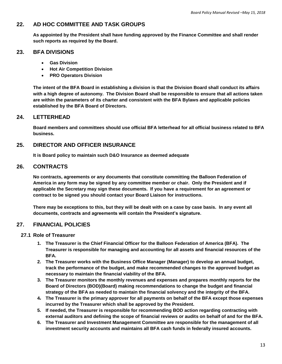# <span id="page-12-0"></span>**22. AD HOC COMMITTEE AND TASK GROUPS**

**As appointed by the President shall have funding approved by the Finance Committee and shall render such reports as required by the Board.**

### <span id="page-12-1"></span>**23. BFA DIVISIONS**

- **Gas Division**
- **Hot Air Competition Division**
- **PRO Operators Division**

**The intent of the BFA Board in establishing a division is that the Division Board shall conduct its affairs with a high degree of autonomy. The Division Board shall be responsible to ensure that all actions taken are within the parameters of its charter and consistent with the BFA Bylaws and applicable policies established by the BFA Board of Directors.**

#### <span id="page-12-2"></span>**24. LETTERHEAD**

**Board members and committees should use official BFA letterhead for all official business related to BFA business.**

#### <span id="page-12-3"></span>**25. DIRECTOR AND OFFICER INSURANCE**

**It is Board policy to maintain such D&O Insurance as deemed adequate**

#### <span id="page-12-4"></span>**26. CONTRACTS**

**No contracts, agreements or any documents that constitute committing the Balloon Federation of America in any form may be signed by any committee member or chair. Only the President and if applicable the Secretary may sign these documents. If you have a requirement for an agreement or contract to be signed you should contact your Board Liaison for instructions.**

**There may be exceptions to this, but they will be dealt with on a case by case basis. In any event all documents, contracts and agreements will contain the President's signature.**

# <span id="page-12-5"></span>**27. FINANCIAL POLICIES**

- <span id="page-12-6"></span>**27.1 Role of Treasurer**
	- **1. The Treasurer is the Chief Financial Officer for the Balloon Federation of America (BFA). The Treasurer is responsible for managing and accounting for all assets and financial resources of the BFA.**
	- **2. The Treasurer works with the Business Office Manager (Manager) to develop an annual budget, track the performance of the budget, and make recommended changes to the approved budget as necessary to maintain the financial viability of the BFA.**
	- **3. The Treasurer monitors the monthly revenues and expenses and prepares monthly reports for the Board of Directors (BOD)(Board) making recommendations to change the budget and financial strategy of the BFA as needed to maintain the financial solvency and the integrity of the BFA.**
	- **4. The Treasurer is the primary approver for all payments on behalf of the BFA except those expenses incurred by the Treasurer which shall be approved by the President.**
	- **5. If needed, the Treasurer is responsible for recommending BOD action regarding contracting with external auditors and defining the scope of financial reviews or audits on behalf of and for the BFA.**
	- **6. The Treasurer and Investment Management Committee are responsible for the management of all investment security accounts and maintains all BFA cash funds in federally insured accounts.**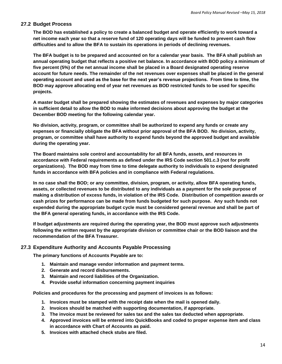#### <span id="page-13-0"></span>**27.2 Budget Process**

**The BOD has established a policy to create a balanced budget and operate efficiently to work toward a net income each year so that a reserve fund of 120 operating days will be funded to prevent cash flow difficulties and to allow the BFA to sustain its operations in periods of declining revenues.**

**The BFA budget is to be prepared and accounted on for a calendar year basis. The BFA shall publish an annual operating budget that reflects a positive net balance. In accordance with BOD policy a minimum of five percent (5%) of the net annual income shall be placed in a Board designated operating reserve account for future needs. The remainder of the net revenues over expenses shall be placed in the general operating account and used as the base for the next year's revenue projections. From time to time, the BOD may approve allocating end of year net revenues as BOD restricted funds to be used for specific projects.**

**A master budget shall be prepared showing the estimates of revenues and expenses by major categories in sufficient detail to allow the BOD to make informed decisions about approving the budget at the December BOD meeting for the following calendar year.**

**No division, activity, program, or committee shall be authorized to expend any funds or create any expenses or financially obligate the BFA without prior approval of the BFA BOD. No division, activity, program, or committee shall have authority to expend funds beyond the approved budget and available during the operating year.**

**The Board maintains sole control and accountability for all BFA funds, assets, and resources in accordance with Federal requirements as defined under the IRS Code section 501.c.3 (not for profit organizations). The BOD may from time to time delegate authority to individuals to expend designated funds in accordance with BFA policies and in compliance with Federal regulations.** 

**In no case shall the BOD; or any committee, division, program, or activity, allow BFA operating funds, assets, or collected revenues to be distributed to any individuals as a payment for the sole purpose of making a distribution of excess funds, in violation of the IRS Code. Distribution of competition awards or cash prizes for performance can be made from funds budgeted for such purpose. Any such funds not expended during the appropriate budget cycle must be considered general revenue and shall be part of the BFA general operating funds, in accordance with the IRS Code.** 

**If budget adjustments are required during the operating year, the BOD must approve such adjustments following the written request by the appropriate division or committee chair or the BOD liaison and the recommendation of the BFA Treasurer.**

#### <span id="page-13-1"></span>**27.3 Expenditure Authority and Accounts Payable Processing**

**The primary functions of Accounts Payable are to:**

- **1. Maintain and manage vendor information and payment terms.**
- **2. Generate and record disbursements.**
- **3. Maintain and record liabilities of the Organization.**
- **4. Provide useful information concerning payment inquiries**

**Policies and procedures for the processing and payment of invoices is as follows:**

- **1. Invoices must be stamped with the receipt date when the mail is opened daily.**
- **2. Invoices should be matched with supporting documentation, if appropriate.**
- **3. The invoice must be reviewed for sales tax and the sales tax deducted when appropriate.**
- **4. Approved invoices will be entered into QuickBooks and coded to proper expense item and class in accordance with Chart of Accounts as paid.**
- **5. Invoices with attached check stubs are filed.**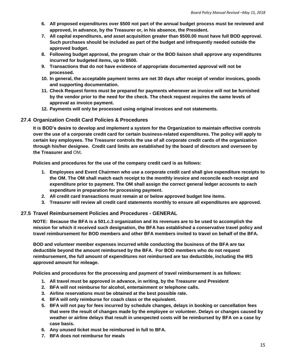- **6. All proposed expenditures over \$500 not part of the annual budget process must be reviewed and approved, in advance, by the Treasurer or, in his absence, the President.**
- **7. All capital expenditures, and asset acquisition greater than \$500.00 must have full BOD approval. Such purchases should be included as part of the budget and infrequently needed outside the approved budget.**
- **8. Following budget approval, the program chair or the BOD liaison shall approve any expenditures incurred for budgeted items, up to \$500.**
- **9. Transactions that do not have evidence of appropriate documented approval will not be processed.**
- **10. In general, the acceptable payment terms are net 30 days after receipt of vendor invoices, goods and supporting documentation.**
- **11. Check Request forms must be prepared for payments whenever an invoice will not be furnished by the vendor prior to the need for the check. The check request requires the same levels of approval as invoice payment.**
- **12. Payments will only be processed using original invoices and not statements.**

#### <span id="page-14-0"></span>**27.4 Organization Credit Card Policies & Procedures**

**It is BOD's desire to develop and implement a system for the Organization to maintain effective controls over the use of a corporate credit card for certain business-related expenditures. The policy will apply to certain key employees. The Treasurer controls the use of all corporate credit cards of the organization through his/her designee. Credit card limits are established by the board of directors and overseen by the Treasurer and** OM**.**

**Policies and procedures for the use of the company credit card is as follows:**

- **1. Employees and Event Chairmen who use a corporate credit card shall give expenditure receipts to the OM. The OM shall match each receipt to the monthly invoice and reconcile each receipt and expenditure prior to payment. The OM shall assign the correct general ledger accounts to each expenditure in preparation for processing payment.**
- **2. All credit card transactions must remain at or below approved budget line items.**
- **3. Treasurer will review all credit card statements monthly to ensure all expenditures are approved.**

#### <span id="page-14-1"></span>**27.5 Travel Reimbursement Policies and Procedures - GENERAL**

**NOTE: Because the BFA is a 501.c.3 organization and its revenues are to be used to accomplish the mission for which it received such designation, the BFA has established a conservative travel policy and travel reimbursement for BOD members and other BFA members invited to travel on behalf of the BFA.**

**BOD and volunteer member expenses incurred while conducting the business of the BFA are tax deductible beyond the amount reimbursed by the BFA. For BOD members who do not request reimbursement, the full amount of expenditures not reimbursed are tax deductible, including the IRS approved amount for mileage.**

**Policies and procedures for the processing and payment of travel reimbursement is as follows:**

- **1. All travel must be approved in advance, in writing, by the Treasurer and President**
- **2. BFA will not reimburse for alcohol, entertainment or telephone calls.**
- **3. Airline reservations must be obtained at the best possible rate.**
- **4. BFA will only reimburse for coach class or the equivalent.**
- **5. BFA will not pay for fees incurred by schedule changes, delays in booking or cancellation fees that were the result of changes made by the employee or volunteer. Delays or changes caused by weather or airline delays that result in unexpected costs will be reimbursed by BFA on a case by case basis.**
- **6. Any unused ticket must be reimbursed in full to BFA.**
- **7. BFA does not reimburse for meals**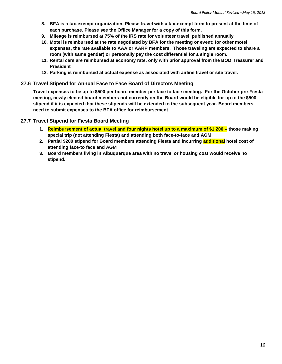- **8. BFA is a tax-exempt organization. Please travel with a tax-exempt form to present at the time of each purchase. Please see the Office Manager for a copy of this form.**
- **9. Mileage is reimbursed at 75% of the IRS rate for volunteer travel, published annually**
- **10. Motel is reimbursed at the rate negotiated by BFA for the meeting or event; for other motel expenses, the rate available to AAA or AARP members. Those traveling are expected to share a room (with same gender) or personally pay the cost differential for a single room.**
- **11. Rental cars are reimbursed at economy rate, only with prior approval from the BOD Treasurer and President**
- **12. Parking is reimbursed at actual expense as associated with airline travel or site travel.**

#### <span id="page-15-0"></span>**27.6 Travel Stipend for Annual Face to Face Board of Directors Meeting**

**Travel expenses to be up to \$500 per board member per face to face meeting. For the October pre-Fiesta meeting, newly elected board members not currently on the Board would be eligible for up to the \$500 stipend if it is expected that these stipends will be extended to the subsequent year. Board members need to submit expenses to the BFA office for reimbursement.** 

#### <span id="page-15-1"></span>**27.7 Travel Stipend for Fiesta Board Meeting**

- **1. Reimbursement of actual travel and four nights hotel up to a maximum of \$1,200 – those making special trip (not attending Fiesta) and attending both face-to-face and AGM**
- **2. Partial \$200 stipend for Board members attending Fiesta and incurring additional hotel cost of attending face-to face and AGM**
- **3. Board members living in Albuquerque area with no travel or housing cost would receive no stipend.**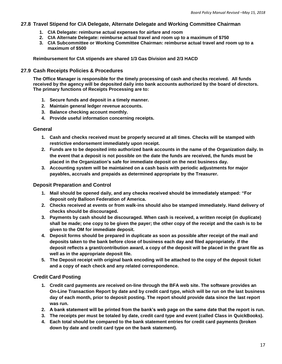#### <span id="page-16-0"></span>**27.8 Travel Stipend for CIA Delegate, Alternate Delegate and Working Committee Chairman**

- **1. CIA Delegate: reimburse actual expenses for airfare and room**
- **2. CIA Alternate Delegate: reimburse actual travel and room up to a maximum of \$750**
- **3. CIA Subcommittee or Working Committee Chairman: reimburse actual travel and room up to a maximum of \$500**

**Reimbursement for CIA stipends are shared 1/3 Gas Division and 2/3 HACD**

#### <span id="page-16-1"></span>**27.9 Cash Receipts Policies & Procedures**

**The Office Manager is responsible for the timely processing of cash and checks received. All funds received by the agency will be deposited daily into bank accounts authorized by the board of directors. The primary functions of Receipts Processing are to:**

- **1. Secure funds and deposit in a timely manner.**
- **2. Maintain general ledger revenue accounts.**
- **3. Balance checking account monthly.**
- **4. Provide useful information concerning receipts.**

#### **General**

- **1. Cash and checks received must be properly secured at all times. Checks will be stamped with restrictive endorsement immediately upon receipt.**
- **2. Funds are to be deposited into authorized bank accounts in the name of the Organization daily. In the event that a deposit is not possible on the date the funds are received, the funds must be placed in the Organization's safe for immediate deposit on the next business day.**
- **3. Accounting system will be maintained on a cash basis with periodic adjustments for major payables, accruals and prepaids as determined appropriate by the Treasurer.**

#### **Deposit Preparation and Control**

- **1. Mail should be opened daily, and any checks received should be immediately stamped: "For deposit only Balloon Federation of America.**
- **2. Checks received at events or from walk-ins should also be stamped immediately. Hand delivery of checks should be discouraged.**
- **3. Payments by cash should be discouraged. When cash is received, a written receipt (in duplicate) shall be made; one copy to be given the payer; the other copy of the receipt and the cash is to be given to the OM for immediate deposit.**
- **4. Deposit forms should be prepared in duplicate as soon as possible after receipt of the mail and deposits taken to the bank before close of business each day and filed appropriately. If the deposit reflects a grant/contribution award, a copy of the deposit will be placed in the grant file as well as in the appropriate deposit file.**
- **5. The Deposit receipt with original bank encoding will be attached to the copy of the deposit ticket and a copy of each check and any related correspondence.**

#### **Credit Card Posting**

- **1. Credit card payments are received on-line through the BFA web site. The software provides an On-Line Transaction Report by date and by credit card type, which will be run on the last business day of each month, prior to deposit posting. The report should provide data since the last report was run.**
- **2. A bank statement will be printed from the bank's web page on the same date that the report is run.**
- **3. The receipts per must be totaled by date, credit card type and event (called Class in QuickBooks).**
- **4. Each total should be compared to the bank statement entries for credit card payments (broken down by date and credit card type on the bank statement).**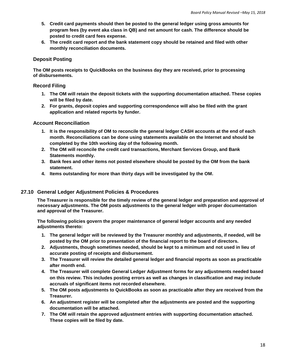- **5. Credit card payments should then be posted to the general ledger using gross amounts for program fees (by event aka class in QB) and net amount for cash. The difference should be posted to credit card fees expense.**
- **6. The credit card report and the bank statement copy should be retained and filed with other monthly reconciliation documents.**

#### **Deposit Posting**

**The OM posts receipts to QuickBooks on the business day they are received, prior to processing of disbursements.**

#### **Record Filing**

- **1. The OM will retain the deposit tickets with the supporting documentation attached. These copies will be filed by date.**
- **2. For grants, deposit copies and supporting correspondence will also be filed with the grant application and related reports by funder.**

#### **Account Reconciliation**

- **1. It is the responsibility of OM to reconcile the general ledger CASH accounts at the end of each month. Reconciliations can be done using statements available on the Internet and should be completed by the 10th working day of the following month.**
- **2. The OM will reconcile the credit card transactions, Merchant Services Group, and Bank Statements monthly.**
- **3. Bank fees and other items not posted elsewhere should be posted by the OM from the bank statement.**
- **4. Items outstanding for more than thirty days will be investigated by the OM.**

#### <span id="page-17-0"></span>**27.10 General Ledger Adjustment Policies & Procedures**

**The Treasurer is responsible for the timely review of the general ledger and preparation and approval of necessary adjustments. The OM posts adjustments to the general ledger with proper documentation and approval of the Treasurer.**

**The following policies govern the proper maintenance of general ledger accounts and any needed adjustments thereto:**

- **1. The general ledger will be reviewed by the Treasurer monthly and adjustments, if needed, will be posted by the OM prior to presentation of the financial report to the board of directors.**
- **2. Adjustments, though sometimes needed, should be kept to a minimum and not used in lieu of accurate posting of receipts and disbursement.**
- **3. The Treasurer will review the detailed general ledger and financial reports as soon as practicable after month end.**
- **4. The Treasurer will complete General Ledger Adjustment forms for any adjustments needed based on this review. This includes posting errors as well as changes in classification and may include accruals of significant items not recorded elsewhere.**
- **5. The OM posts adjustments to QuickBooks as soon as practicable after they are received from the Treasurer.**
- **6. An adjustment register will be completed after the adjustments are posted and the supporting documentation will be attached.**
- **7. The OM will retain the approved adjustment entries with supporting documentation attached. These copies will be filed by date.**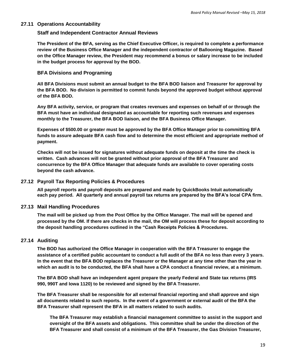#### <span id="page-18-0"></span>**27.11 Operations Accountability**

#### **Staff and Independent Contractor Annual Reviews**

**The President of the BFA, serving as the Chief Executive Officer, is required to complete a performance review of the Business Office Manager and the independent contractor of Ballooning Magazine. Based on the Office Manager review, the President may recommend a bonus or salary increase to be included in the budget process for approval by the BOD.**

#### **BFA Divisions and Programing**

**All BFA Divisions must submit an annual budget to the BFA BOD liaison and Treasurer for approval by the BFA BOD. No division is permitted to commit funds beyond the approved budget without approval of the BFA BOD.**

**Any BFA activity, service, or program that creates revenues and expenses on behalf of or through the BFA must have an individual designated as accountable for reporting such revenues and expenses monthly to the Treasurer, the BFA BOD liaison, and the BFA Business Office Manager.**

**Expenses of \$500.00 or greater must be approved by the BFA Office Manager prior to committing BFA funds to assure adequate BFA cash flow and to determine the most efficient and appropriate method of payment.** 

**Checks will not be issued for signatures without adequate funds on deposit at the time the check is written. Cash advances will not be granted without prior approval of the BFA Treasurer and concurrence by the BFA Office Manager that adequate funds are available to cover operating costs beyond the cash advance.**

#### <span id="page-18-1"></span>**27.12 Payroll Tax Reporting Policies & Procedures**

**All payroll reports and payroll deposits are prepared and made by QuickBooks Intuit automatically each pay period. All quarterly and annual payroll tax returns are prepared by the BFA's local CPA firm.**

#### <span id="page-18-2"></span>**27.13 Mail Handling Procedures**

**The mail will be picked up from the Post Office by the Office Manager. The mail will be opened and processed by the OM. If there are checks in the mail, the OM will process these for deposit according to the deposit handling procedures outlined in the "Cash Receipts Policies & Procedures.**

#### <span id="page-18-3"></span>**27.14 Auditing**

**The BOD has authorized the Office Manager in cooperation with the BFA Treasurer to engage the assistance of a certified public accountant to conduct a full audit of the BFA no less than every 3 years. In the event that the BFA BOD replaces the Treasurer or the Manager at any time other than the year in which an audit is to be conducted, the BFA shall have a CPA conduct a financial review, at a minimum.** 

**The BFA BOD shall have an independent agent prepare the yearly Federal and State tax returns (IRS 990, 990T and Iowa 1120) to be reviewed and signed by the BFA Treasurer.** 

**The BFA Treasurer shall be responsible for all external financial reporting and shall approve and sign all documents related to such reports. In the event of a government or external audit of the BFA the BFA Treasurer shall represent the BFA in all matters related to such audits.**

**The BFA Treasurer may establish a financial management committee to assist in the support and oversight of the BFA assets and obligations. This committee shall be under the direction of the BFA Treasurer and shall consist of a minimum of the BFA Treasurer, the Gas Division Treasurer,**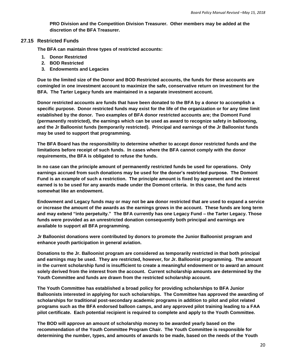**PRO Division and the Competition Division Treasurer. Other members may be added at the discretion of the BFA Treasurer.**

#### <span id="page-19-0"></span>**27.15 Restricted Funds**

**The BFA can maintain three types of restricted accounts:**

- **1. Donor Restricted**
- **2. BOD Restricted**
- **3. Endowments and Legacies**

**Due to the limited size of the Donor and BOD Restricted accounts, the funds for these accounts are comingled in one investment account to maximize the safe, conservative return on investment for the BFA. The Tarter Legacy funds are maintained in a separate investment account.**

**Donor restricted accounts are funds that have been donated to the BFA by a donor to accomplish a specific purpose. Donor restricted funds may exist for the life of the organization or for any time limit established by the donor. Two examples of BFA donor restricted accounts are; the Domont Fund (permanently restricted), the earnings which can be used as award to recognize safety in ballooning, and the Jr Balloonist funds (temporarily restricted). Principal and earnings of the Jr Balloonist funds may be used to support that programming.**

**The BFA Board has the responsibility to determine whether to accept donor restricted funds and the limitations before receipt of such funds. In cases where the BFA cannot comply with the donor requirements, the BFA is obligated to refuse the funds.**

**In no case can the principle amount of permanently restricted funds be used for operations. Only earnings accrued from such donations may be used for the donor's restricted purpose. The Domont Fund is an example of such a restriction. The principle amount is fixed by agreement and the interest earned is to be used for any awards made under the Domont criteria. In this case, the fund acts somewhat like an endowment.**

**Endowment and Legacy funds may or may not be are donor restricted that are used to expand a service or increase the amount of the awards as the earnings grows in the account. These funds are long term and may extend "into perpetuity." The BFA currently has one Legacy Fund – the Tarter Legacy. Those funds were provided as an unrestricted donation consequently both principal and earnings are available to support all BFA programming.**

**Jr Balloonist donations were contributed by donors to promote the Junior Balloonist program and enhance youth participation in general aviation.**

**Donations to the Jr. Balloonist program are considered as temporarily restricted in that both principal and earnings may be used. They are restricted, however, for Jr. Balloonist programming. The amount in the current scholarship fund is insufficient to create a meaningful endowment or to award an amount solely derived from the interest from the account. Current scholarship amounts are determined by the Youth Committee and funds are drawn from the restricted scholarship account.** 

**The Youth Committee has established a broad policy for providing scholarships to BFA Junior Balloonists interested in applying for such scholarships. The Committee has approved the awarding of scholarships for traditional post-secondary academic programs in addition to pilot and pilot related programs such as the BFA endorsed balloon camps, and any approved pilot training leading to a FAA pilot certificate. Each potential recipient is required to complete and apply to the Youth Committee.**

**The BOD will approve an amount of scholarship money to be awarded yearly based on the recommendation of the Youth Committee Program Chair. The Youth Committee is responsible for determining the number, types, and amounts of awards to be made, based on the needs of the Youth**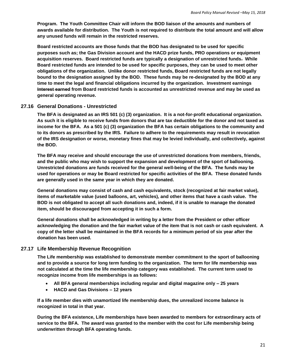**Program. The Youth Committee Chair will inform the BOD liaison of the amounts and numbers of awards available for distribution. The Youth is not required to distribute the total amount and will allow any unused funds will remain in the restricted reserves.**

**Board restricted accounts are those funds that the BOD has designated to be used for specific purposes such as; the Gas Division account and the HACD prize funds, PRO operations or equipment acquisition reserves. Board restricted funds are typically a designation of unrestricted funds. While Board restricted funds are intended to be used for specific purposes, they can be used to meet other obligations of the organization. Unlike donor restricted funds, Board restricted funds are not legally bound to the designation assigned by the BOD. These funds may be re-designated by the BOD at any time to meet the legal and financial obligations incurred by the organization. Investment earnings Interest earned from Board restricted funds is accounted as unrestricted revenue and may be used as general operating revenue.**

#### <span id="page-20-0"></span>**27.16 General Donations - Unrestricted**

**The BFA is designated as an IRS 501 (c) (3) organization. It is a not-for-profit educational organization. As such it is eligible to receive funds from donors that are tax deductible for the donor and not taxed as income for the BFA. As a 501 (c) (3) organization the BFA has certain obligations to the community and to its donors as prescribed by the IRS. Failure to adhere to the requirements may result in revocation of the IRS designation or worse, monetary fines that may be levied individually, and collectively, against the BOD.**

**The BFA may receive and should encourage the use of unrestricted donations from members, friends, and the public who may wish to support the expansion and development of the sport of ballooning. Unrestricted donations are funds received for the general well-being of the BFA. The funds may be used for operations or may be Board restricted for specific activities of the BFA. These donated funds are generally used in the same year in which they are donated.**

**General donations may consist of cash and cash equivalents, stock (recognized at fair market value), items of marketable value (used balloons, art, vehicles), and other items that have a cash value. The BOD is not obligated to accept all such donations and, indeed, if it is unable to manage the donated item, should be discouraged from accepting it in such a form.** 

**General donations shall be acknowledged in writing by a letter from the President or other officer acknowledging the donation and the fair market value of the item that is not cash or cash equivalent. A copy of the letter shall be maintained in the BFA records for a minimum period of six year after the donation has been used.**

#### <span id="page-20-1"></span>**27.17 Life Membership Revenue Recognition**

**The Life membership was established to demonstrate member commitment to the sport of ballooning and to provide a source for long term funding to the organization. The term for life membership was not calculated at the time the life membership category was established. The current term used to recognize income from life memberships is as follows:**

- **All BFA general memberships including regular and digital magazine only – 25 years**
- **HACD and Gas Divisions – 12 years**

**If a life member dies with unamortized life membership dues, the unrealized income balance is recognized in total in that year.**

**During the BFA existence, Life memberships have been awarded to members for extraordinary acts of service to the BFA. The award was granted to the member with the cost for Life membership being underwritten through BFA operating funds.**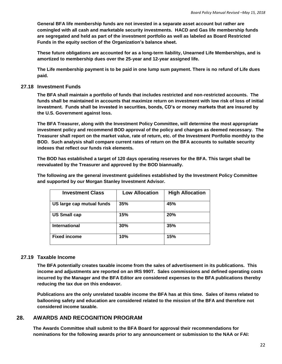**General BFA life membership funds are not invested in a separate asset account but rather are comingled with all cash and marketable security investments. HACD and Gas life membership funds are segregated and held as part of the investment portfolio as well as labeled as Board Restricted Funds in the equity section of the Organization's balance sheet.** 

**These future obligations are accounted for as a long-term liability, Unearned Life Memberships, and is amortized to membership dues over the 25-year and 12-year assigned life.** 

**The Life membership payment is to be paid in one lump sum payment. There is no refund of Life dues paid.** 

#### <span id="page-21-0"></span>**27.18 Investment Funds**

**The BFA shall maintain a portfolio of funds that includes restricted and non-restricted accounts. The funds shall be maintained in accounts that maximize return on investment with low risk of loss of initial investment. Funds shall be invested in securities, bonds, CD's or money markets that are insured by the U.S. Government against loss.**

**The BFA Treasurer, along with the Investment Policy Committee, will determine the most appropriate investment policy and recommend BOD approval of the policy and changes as deemed necessary. The Treasurer shall report on the market value, rate of return, etc. of the Investment Portfolio monthly to the BOD. Such analysis shall compare current rates of return on the BFA accounts to suitable security indexes that reflect our funds risk elements.**

**The BOD has established a target of 120 days operating reserves for the BFA. This target shall be reevaluated by the Treasurer and approved by the BOD biannually.** 

**The following are the general investment guidelines established by the Investment Policy Committee and supported by our Morgan Stanley Investment Advisor.**

| <b>Investment Class</b>   | <b>Low Allocation</b> | <b>High Allocation</b> |
|---------------------------|-----------------------|------------------------|
| US large cap mutual funds | 35%                   | 45%                    |
| <b>US Small cap</b>       | 15%                   | 20%                    |
| <b>International</b>      | 30%                   | 35%                    |
| <b>Fixed income</b>       | 10%                   | 15%                    |

#### <span id="page-21-1"></span>**27.19 Taxable Income**

**The BFA potentially creates taxable income from the sales of advertisement in its publications. This income and adjustments are reported on an IRS 990T. Sales commissions and defined operating costs incurred by the Manager and the BFA Editor are considered expenses to the BFA publications thereby reducing the tax due on this endeavor.**

**Publications are the only unrelated taxable income the BFA has at this time. Sales of items related to ballooning safety and education are considered related to the mission of the BFA and therefore not considered income taxable.**

#### <span id="page-21-2"></span>**28. AWARDS AND RECOGNITION PROGRAM**

**The Awards Committee shall submit to the BFA Board for approval their recommendations for nominations for the following awards prior to any announcement or submission to the NAA or FAI:**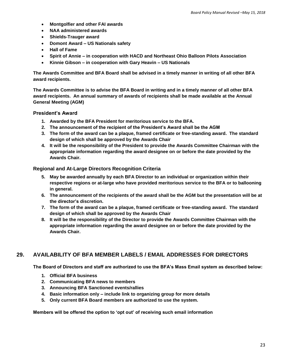- **Montgolfier and other FAI awards**
- **NAA administered awards**
- **Shields-Trauger award**
- **Domont Award – US Nationals safety**
- **Hall of Fame**
- **Spirit of Annie – in cooperation with HACD and Northeast Ohio Balloon Pilots Association**
- **Kinnie Gibson – in cooperation with Gary Heavin – US Nationals**

**The Awards Committee and BFA Board shall be advised in a timely manner in writing of all other BFA award recipients.**

**The Awards Committee is to advise the BFA Board in writing and in a timely manner of all other BFA award recipients. An annual summary of awards of recipients shall be made available at the Annual General Meeting (AGM)**

#### **President's Award**

- **1. Awarded by the BFA President for meritorious service to the BFA.**
- **2. The announcement of the recipient of the President's Award shall be the AGM**
- **3. The form of the award can be a plaque, framed certificate or free-standing award. The standard design of which shall be approved by the Awards Chair**
- **4. It will be the responsibility of the President to provide the Awards Committee Chairman with the appropriate information regarding the award designee on or before the date provided by the Awards Chair.**

#### **Regional and At-Large Directors Recognition Criteria**

- **5. May be awarded annually by each BFA Director to an individual or organization within their respective regions or at-large who have provided meritorious service to the BFA or to ballooning in general.**
- **6. The announcement of the recipients of the award shall be the AGM but the presentation will be at the director's discretion.**
- **7. The form of the award can be a plaque, framed certificate or free-standing award. The standard design of which shall be approved by the Awards Chair**
- **8. It will be the responsibility of the Director to provide the Awards Committee Chairman with the appropriate information regarding the award designee on or before the date provided by the Awards Chair.**

# <span id="page-22-0"></span>**29. AVAILABILITY OF BFA MEMBER LABELS / EMAIL ADDRESSES FOR DIRECTORS**

**The Board of Directors and staff are authorized to use the BFA's Mass Email system as described below:**

- **1. Official BFA business**
- **2. Communicating BFA news to members**
- **3. Announcing BFA Sanctioned events/rallies**
- **4. Basic information only – include link to organizing group for more details**
- **5. Only current BFA Board members are authorized to use the system.**

 **Members will be offered the option to 'opt out' of receiving such email information**